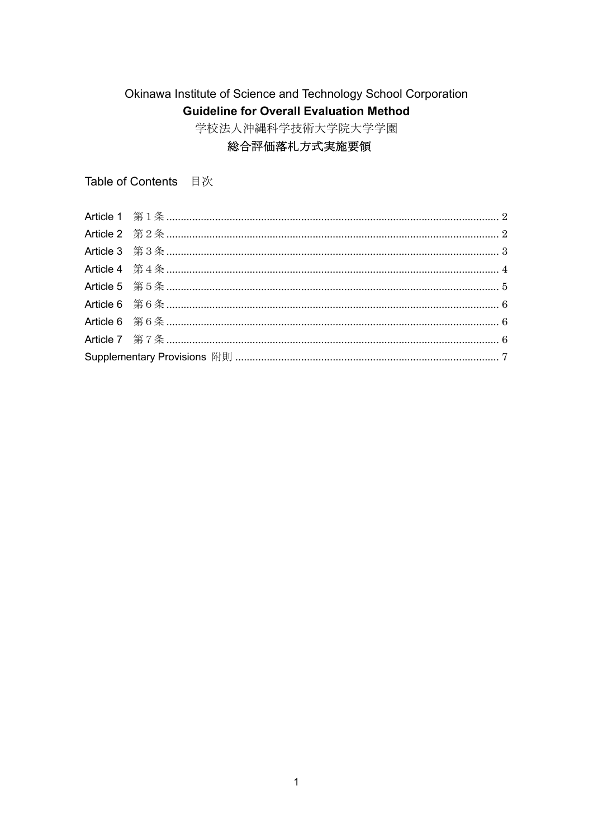# Okinawa Institute of Science and Technology School Corporation **Guideline for Overall Evaluation Method**

学校法人沖縄科学技術大学院大学学園

# 総合評価落札方式実施要領

Table of Contents 目次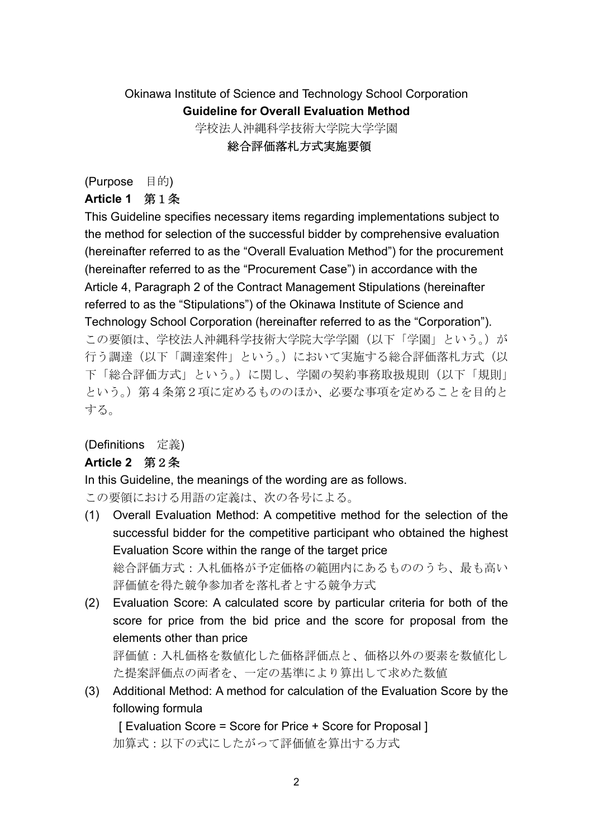# Okinawa Institute of Science and Technology School Corporation **Guideline for Overall Evaluation Method** 学校法人沖縄科学技術大学院大学学園

総合評価落札方式実施要領

(Purpose 目的)

# **Article 1** 第1条

This Guideline specifies necessary items regarding implementations subject to the method for selection of the successful bidder by comprehensive evaluation (hereinafter referred to as the "Overall Evaluation Method") for the procurement (hereinafter referred to as the "Procurement Case") in accordance with the Article 4, Paragraph 2 of the Contract Management Stipulations (hereinafter referred to as the "Stipulations") of the Okinawa Institute of Science and Technology School Corporation (hereinafter referred to as the "Corporation"). この要領は、学校法人沖縄科学技術大学院大学学園(以下「学園」という。)が 行う調達(以下「調達案件」という。)において実施する総合評価落札方式(以 下「総合評価方式」という。)に関し、学園の契約事務取扱規則(以下「規則」 という。)第4条第2項に定めるもののほか、必要な事項を定めることを目的と する。

### (Definitions 定義)

# **Article 2** 第2条

In this Guideline, the meanings of the wording are as follows.

この要領における用語の定義は、次の各号による。

(1) Overall Evaluation Method: A competitive method for the selection of the successful bidder for the competitive participant who obtained the highest Evaluation Score within the range of the target price 総合評価方式:入札価格が予定価格の範囲内にあるもののうち、最も高い

評価値を得た競争参加者を落札者とする競争方式

(2) Evaluation Score: A calculated score by particular criteria for both of the score for price from the bid price and the score for proposal from the elements other than price

評価値:入札価格を数値化した価格評価点と、価格以外の要素を数値化し た提案評価点の両者を、一定の基準により算出して求めた数値

(3) Additional Method: A method for calculation of the Evaluation Score by the following formula

[ Evaluation Score = Score for Price + Score for Proposal ] 加算式:以下の式にしたがって評価値を算出する方式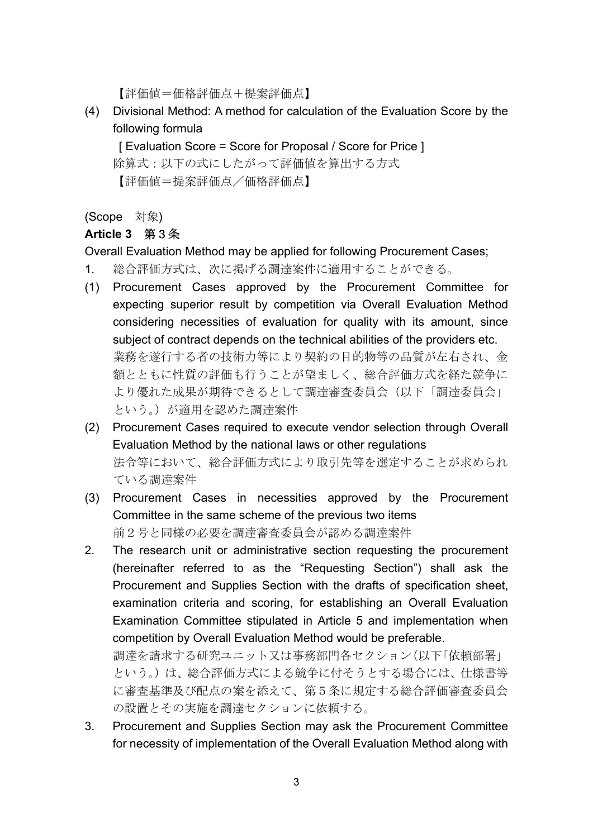【評価値=価格評価点+提案評価点】

(4) Divisional Method: A method for calculation of the Evaluation Score by the following formula

[ Evaluation Score = Score for Proposal / Score for Price ] 除算式:以下の式にしたがって評価値を算出する方式 【評価値=提案評価点/価格評価点】

(Scope 対象)

# **Article 3** 第3条

Overall Evaluation Method may be applied for following Procurement Cases;

- 1. 総合評価方式は、次に掲げる調達案件に適用することができる。
- (1) Procurement Cases approved by the Procurement Committee for expecting superior result by competition via Overall Evaluation Method considering necessities of evaluation for quality with its amount, since subject of contract depends on the technical abilities of the providers etc. 業務を遂行する者の技術力等により契約の目的物等の品質が左右され、金 額とともに性質の評価も行うことが望ましく、総合評価方式を経た競争に より優れた成果が期待できるとして調達審査委員会(以下「調達委員会」 という。)が適用を認めた調達案件
- (2) Procurement Cases required to execute vendor selection through Overall Evaluation Method by the national laws or other regulations 法令等において、総合評価方式により取引先等を選定することが求められ ている調達案件
- (3) Procurement Cases in necessities approved by the Procurement Committee in the same scheme of the previous two items 前2号と同様の必要を調達審査委員会が認める調達案件
- 2. The research unit or administrative section requesting the procurement (hereinafter referred to as the "Requesting Section") shall ask the Procurement and Supplies Section with the drafts of specification sheet, examination criteria and scoring, for establishing an Overall Evaluation Examination Committee stipulated in Article 5 and implementation when competition by Overall Evaluation Method would be preferable.

調達を請求する研究ユニット又は事務部門各セクション(以下「依頼部署」 という。)は、総合評価方式による競争に付そうとする場合には、仕様書等 に審査基準及び配点の案を添えて、第5条に規定する総合評価審査委員会 の設置とその実施を調達セクションに依頼する。

3. Procurement and Supplies Section may ask the Procurement Committee for necessity of implementation of the Overall Evaluation Method along with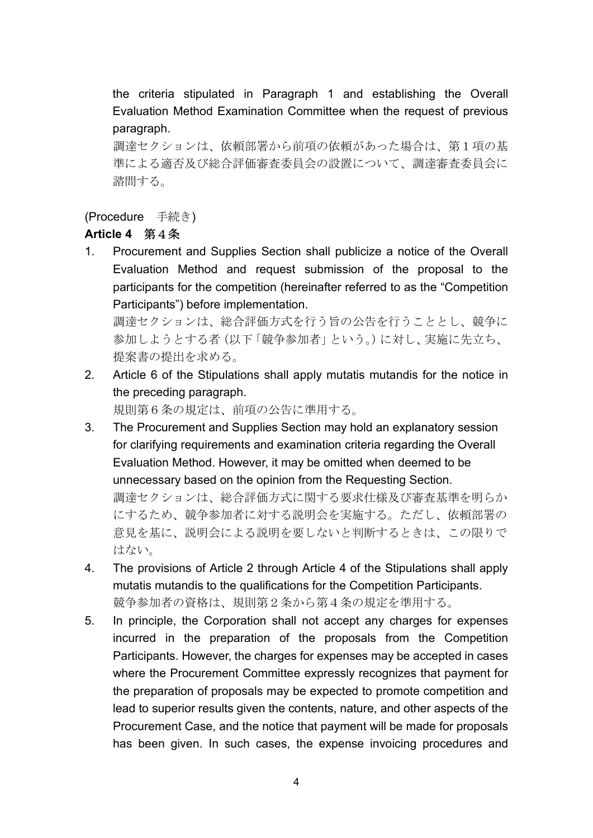the criteria stipulated in Paragraph 1 and establishing the Overall Evaluation Method Examination Committee when the request of previous paragraph.

調達セクションは、依頼部署から前項の依頼があった場合は、第1項の基 準による適否及び総合評価審査委員会の設置について、調達審査委員会に 諮問する。

### (Procedure 手続き)

# **Article 4** 第4条

1. Procurement and Supplies Section shall publicize a notice of the Overall Evaluation Method and request submission of the proposal to the participants for the competition (hereinafter referred to as the "Competition Participants") before implementation.

調達セクションは、総合評価方式を行う旨の公告を行うこととし、競争に 参加しようとする者(以下「競争参加者」という。)に対し、実施に先立ち、 提案書の提出を求める。

2. Article 6 of the Stipulations shall apply mutatis mutandis for the notice in the preceding paragraph.

規則第6条の規定は、前項の公告に準用する。

3. The Procurement and Supplies Section may hold an explanatory session for clarifying requirements and examination criteria regarding the Overall Evaluation Method. However, it may be omitted when deemed to be unnecessary based on the opinion from the Requesting Section. 調達セクションは、総合評価方式に関する要求仕様及び審査基準を明らか

にするため、競争参加者に対する説明会を実施する。ただし、依頼部署の 意見を基に、説明会による説明を要しないと判断するときは、この限りで はない。

- 4. The provisions of Article 2 through Article 4 of the Stipulations shall apply mutatis mutandis to the qualifications for the Competition Participants. 競争参加者の資格は、規則第2条から第4条の規定を準用する。
- 5. In principle, the Corporation shall not accept any charges for expenses incurred in the preparation of the proposals from the Competition Participants. However, the charges for expenses may be accepted in cases where the Procurement Committee expressly recognizes that payment for the preparation of proposals may be expected to promote competition and lead to superior results given the contents, nature, and other aspects of the Procurement Case, and the notice that payment will be made for proposals has been given. In such cases, the expense invoicing procedures and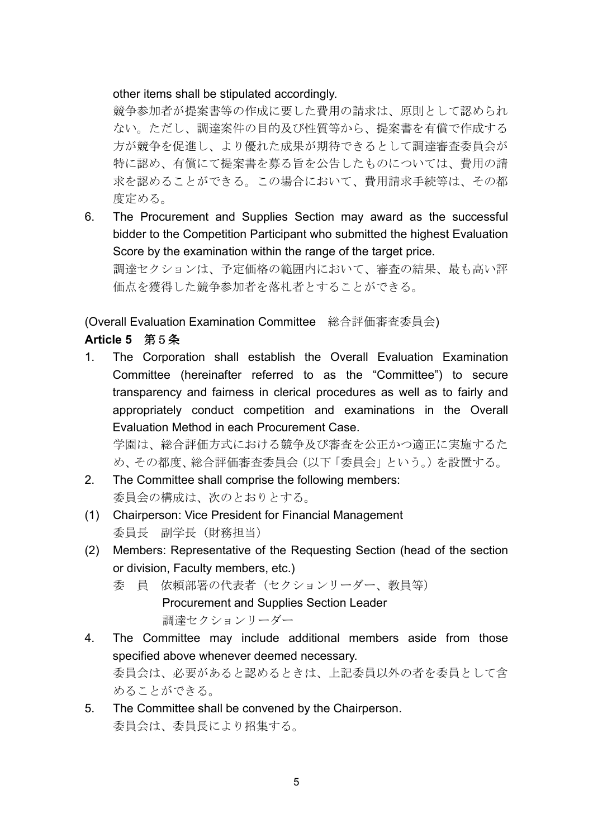#### other items shall be stipulated accordingly.

競争参加者が提案書等の作成に要した費用の請求は、原則として認められ ない。ただし、調達案件の目的及び性質等から、提案書を有償で作成する 方が競争を促進し、より優れた成果が期待できるとして調達審査委員会が 特に認め、有償にて提案書を募る旨を公告したものについては、費用の請 求を認めることができる。この場合において、費用請求手続等は、その都 度定める。

6. The Procurement and Supplies Section may award as the successful bidder to the Competition Participant who submitted the highest Evaluation Score by the examination within the range of the target price. 調達セクションは、予定価格の範囲内において、審査の結果、最も高い評 価点を獲得した競争参加者を落札者とすることができる。

(Overall Evaluation Examination Committee 総合評価審査委員会)

# **Article 5** 第5条

1. The Corporation shall establish the Overall Evaluation Examination Committee (hereinafter referred to as the "Committee") to secure transparency and fairness in clerical procedures as well as to fairly and appropriately conduct competition and examinations in the Overall Evaluation Method in each Procurement Case.

学園は、総合評価方式における競争及び審査を公正かつ適正に実施するた め、その都度、総合評価審査委員会(以下「委員会」という。)を設置する。

- 2. The Committee shall comprise the following members: 委員会の構成は、次のとおりとする。
- (1) Chairperson: Vice President for Financial Management 委員長 副学長(財務担当)
- (2) Members: Representative of the Requesting Section (head of the section or division, Faculty members, etc.)
	- 委 員 依頼部署の代表者(セクションリーダー、教員等) Procurement and Supplies Section Leader 調達セクションリーダー
- 4. The Committee may include additional members aside from those specified above whenever deemed necessary. 委員会は、必要があると認めるときは、上記委員以外の者を委員として含 めることができる。
- 5. The Committee shall be convened by the Chairperson. 委員会は、委員長により招集する。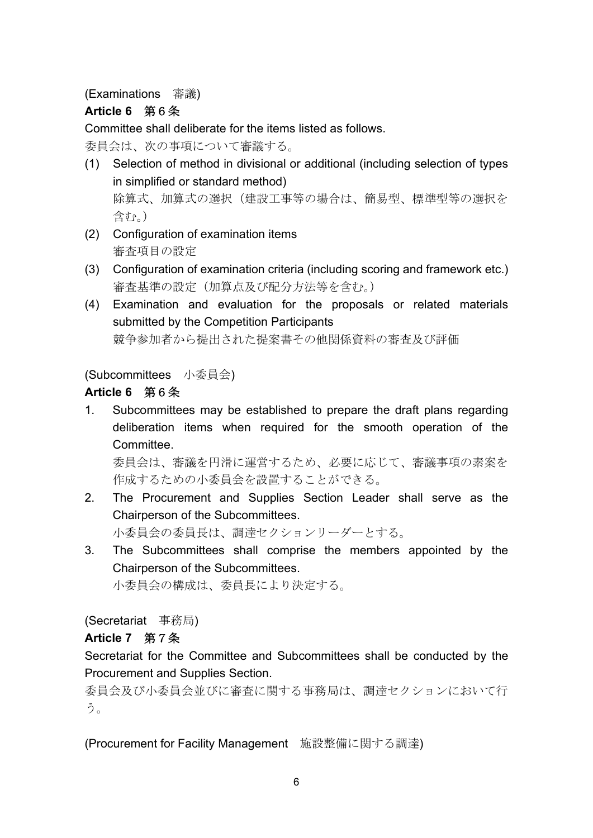# (Examinations 審議)

# **Article 6** 第6条

Committee shall deliberate for the items listed as follows.

委員会は、次の事項について審議する。

- (1) Selection of method in divisional or additional (including selection of types in simplified or standard method) 除算式、加算式の選択(建設工事等の場合は、簡易型、標準型等の選択を 含む。)
- (2) Configuration of examination items 審査項目の設定
- (3) Configuration of examination criteria (including scoring and framework etc.) 審査基準の設定(加算点及び配分方法等を含む。)
- (4) Examination and evaluation for the proposals or related materials submitted by the Competition Participants 競争参加者から提出された提案書その他関係資料の審査及び評価

# (Subcommittees 小委員会)

# **Article 6** 第6条

1. Subcommittees may be established to prepare the draft plans regarding deliberation items when required for the smooth operation of the Committee.

委員会は、審議を円滑に運営するため、必要に応じて、審議事項の素案を 作成するための小委員会を設置することができる。

2. The Procurement and Supplies Section Leader shall serve as the Chairperson of the Subcommittees.

小委員会の委員長は、調達セクションリーダーとする。

3. The Subcommittees shall comprise the members appointed by the Chairperson of the Subcommittees.

小委員会の構成は、委員長により決定する。

(Secretariat 事務局)

### **Article 7** 第7条

Secretariat for the Committee and Subcommittees shall be conducted by the Procurement and Supplies Section.

委員会及び小委員会並びに審査に関する事務局は、調達セクションにおいて行 う。

(Procurement for Facility Management 施設整備に関する調達)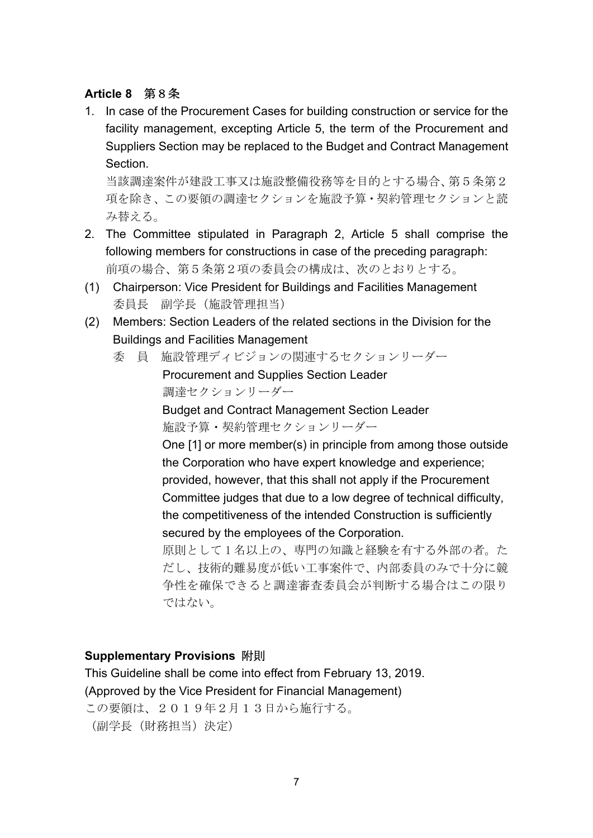### **Article 8** 第8条

1. In case of the Procurement Cases for building construction or service for the facility management, excepting Article 5, the term of the Procurement and Suppliers Section may be replaced to the Budget and Contract Management Section.

当該調達案件が建設工事又は施設整備役務等を目的とする場合、第5条第2 項を除き、この要領の調達セクションを施設予算・契約管理セクションと読 み替える。

- 2. The Committee stipulated in Paragraph 2, Article 5 shall comprise the following members for constructions in case of the preceding paragraph: 前項の場合、第5条第2項の委員会の構成は、次のとおりとする。
- (1) Chairperson: Vice President for Buildings and Facilities Management 委員長 副学長(施設管理担当)
- (2) Members: Section Leaders of the related sections in the Division for the Buildings and Facilities Management
	- 委 員 施設管理ディビジョンの関連するセクションリーダー

Procurement and Supplies Section Leader 調達セクションリーダー

Budget and Contract Management Section Leader 施設予算・契約管理セクションリーダー

One [1] or more member(s) in principle from among those outside the Corporation who have expert knowledge and experience; provided, however, that this shall not apply if the Procurement Committee judges that due to a low degree of technical difficulty, the competitiveness of the intended Construction is sufficiently secured by the employees of the Corporation.

原則として 1 名以上の、専門の知識と経験を有する外部の者。た だし、技術的難易度が低い工事案件で、内部委員のみで十分に競 争性を確保できると調達審査委員会が判断する場合はこの限り ではない。

### **Supplementary Provisions** 附則

This Guideline shall be come into effect from February 13, 2019. (Approved by the Vice President for Financial Management) この要領は、2019年2月13日から施行する。 (副学長(財務担当)決定)